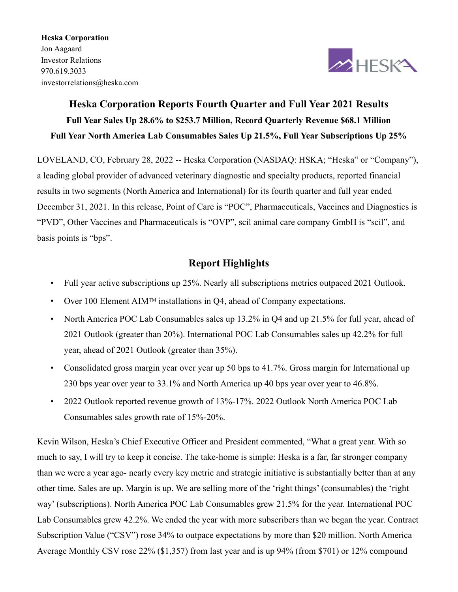Heska Corporation Jon Aagaard Investor Relations 970.619.3033 investorrelations@heska.com



# Heska Corporation Reports Fourth Quarter and Full Year 2021 Results Full Year Sales Up 28.6% to \$253.7 Million, Record Quarterly Revenue \$68.1 Million Full Year North America Lab Consumables Sales Up 21.5%, Full Year Subscriptions Up 25%

LOVELAND, CO, February 28, 2022 -- Heska Corporation (NASDAQ: HSKA; "Heska" or "Company"), a leading global provider of advanced veterinary diagnostic and specialty products, reported financial results in two segments (North America and International) for its fourth quarter and full year ended December 31, 2021. In this release, Point of Care is "POC", Pharmaceuticals, Vaccines and Diagnostics is "PVD", Other Vaccines and Pharmaceuticals is "OVP", scil animal care company GmbH is "scil", and basis points is "bps".

# Report Highlights

- Full year active subscriptions up 25%. Nearly all subscriptions metrics outpaced 2021 Outlook.
- Over 100 Element AIM<sup>TM</sup> installations in Q4, ahead of Company expectations.
- North America POC Lab Consumables sales up 13.2% in Q4 and up 21.5% for full year, ahead of 2021 Outlook (greater than 20%). International POC Lab Consumables sales up 42.2% for full year, ahead of 2021 Outlook (greater than 35%).
- Consolidated gross margin year over year up 50 bps to 41.7%. Gross margin for International up 230 bps year over year to 33.1% and North America up 40 bps year over year to 46.8%.
- 2022 Outlook reported revenue growth of 13%-17%. 2022 Outlook North America POC Lab Consumables sales growth rate of 15%-20%.

Kevin Wilson, Heska's Chief Executive Officer and President commented, "What a great year. With so much to say, I will try to keep it concise. The take-home is simple: Heska is a far, far stronger company than we were a year ago- nearly every key metric and strategic initiative is substantially better than at any other time. Sales are up. Margin is up. We are selling more of the 'right things' (consumables) the 'right way' (subscriptions). North America POC Lab Consumables grew 21.5% for the year. International POC Lab Consumables grew 42.2%. We ended the year with more subscribers than we began the year. Contract Subscription Value ("CSV") rose 34% to outpace expectations by more than \$20 million. North America Average Monthly CSV rose 22% (\$1,357) from last year and is up 94% (from \$701) or 12% compound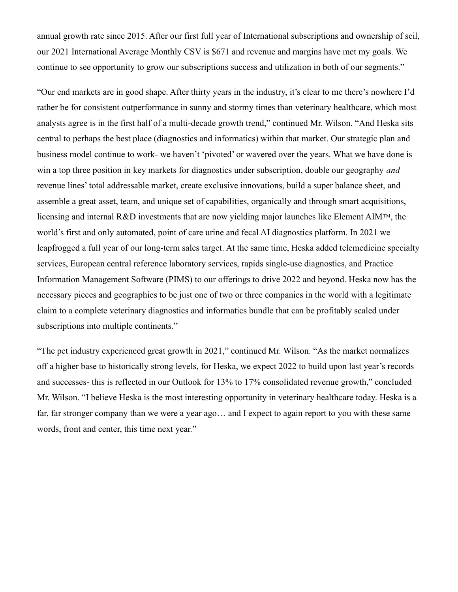annual growth rate since 2015. After our first full year of International subscriptions and ownership of scil, our 2021 International Average Monthly CSV is \$671 and revenue and margins have met my goals. We continue to see opportunity to grow our subscriptions success and utilization in both of our segments."

"Our end markets are in good shape. After thirty years in the industry, it's clear to me there's nowhere I'd rather be for consistent outperformance in sunny and stormy times than veterinary healthcare, which most analysts agree is in the first half of a multi-decade growth trend," continued Mr. Wilson. "And Heska sits central to perhaps the best place (diagnostics and informatics) within that market. Our strategic plan and business model continue to work- we haven't 'pivoted' or wavered over the years. What we have done is win a top three position in key markets for diagnostics under subscription, double our geography *and* revenue lines' total addressable market, create exclusive innovations, build a super balance sheet, and assemble a great asset, team, and unique set of capabilities, organically and through smart acquisitions, licensing and internal R&D investments that are now yielding major launches like Element AIMTM, the world's first and only automated, point of care urine and fecal AI diagnostics platform. In 2021 we leapfrogged a full year of our long-term sales target. At the same time, Heska added telemedicine specialty services, European central reference laboratory services, rapids single-use diagnostics, and Practice Information Management Software (PIMS) to our offerings to drive 2022 and beyond. Heska now has the necessary pieces and geographies to be just one of two or three companies in the world with a legitimate claim to a complete veterinary diagnostics and informatics bundle that can be profitably scaled under subscriptions into multiple continents."

"The pet industry experienced great growth in 2021," continued Mr. Wilson. "As the market normalizes off a higher base to historically strong levels, for Heska, we expect 2022 to build upon last year's records and successes- this is reflected in our Outlook for 13% to 17% consolidated revenue growth," concluded Mr. Wilson. "I believe Heska is the most interesting opportunity in veterinary healthcare today. Heska is a far, far stronger company than we were a year ago… and I expect to again report to you with these same words, front and center, this time next year."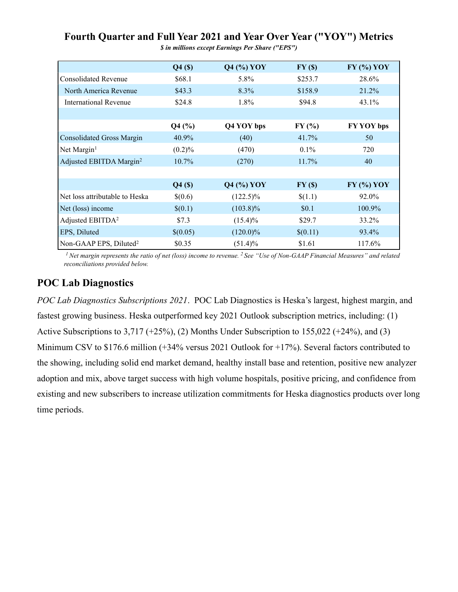|                                     | Q4(S)     | <b>Q4 (%) YOY</b> | FY(\$)   | $FY$ (%) $YOY$ |
|-------------------------------------|-----------|-------------------|----------|----------------|
| Consolidated Revenue                | \$68.1    | 5.8%              | \$253.7  | 28.6%          |
| North America Revenue               | \$43.3    | 8.3%              | \$158.9  | 21.2%          |
| International Revenue               | \$24.8    | 1.8%              | \$94.8   | 43.1%          |
|                                     |           |                   |          |                |
|                                     | $Q4$ (%)  | Q4 YOY bps        | FY(%)    | FY YOY bps     |
| Consolidated Gross Margin           | 40.9%     | (40)              | 41.7%    | 50             |
| Net Margin <sup>1</sup>             | $(0.2)\%$ | (470)             | $0.1\%$  | 720            |
| Adjusted EBITDA Margin <sup>2</sup> | $10.7\%$  | (270)             | 11.7%    | 40             |
|                                     |           |                   |          |                |
|                                     | $Q4($ \$) | $Q4$ (%) YOY      | FY(\$)   | $FY$ (%) $YOY$ |
| Net loss attributable to Heska      | \$(0.6)   | $(122.5)\%$       | \$(1.1)  | 92.0%          |
| Net (loss) income                   | \$(0.1)   | $(103.8)\%$       | \$0.1    | 100.9%         |
| Adjusted EBITDA <sup>2</sup>        | \$7.3     | $(15.4)\%$        | \$29.7   | 33.2%          |
| <b>EPS, Diluted</b>                 | \$(0.05)  | $(120.0)\%$       | \$(0.11) | 93.4%          |
| Non-GAAP EPS, Diluted <sup>2</sup>  | \$0.35    | $(51.4)\%$        | \$1.61   | 117.6%         |

Fourth Quarter and Full Year 2021 and Year Over Year ("YOY") Metrics

\$ in millions except Earnings Per Share ("EPS")

<sup>1</sup> Net margin represents the ratio of net (loss) income to revenue.<sup>2</sup> See "Use of Non-GAAP Financial Measures" and related reconciliations provided below.

# POC Lab Diagnostics

POC Lab Diagnostics Subscriptions 2021. POC Lab Diagnostics is Heska's largest, highest margin, and fastest growing business. Heska outperformed key 2021 Outlook subscription metrics, including: (1) Active Subscriptions to 3,717 (+25%), (2) Months Under Subscription to 155,022 (+24%), and (3) Minimum CSV to \$176.6 million (+34% versus 2021 Outlook for +17%). Several factors contributed to the showing, including solid end market demand, healthy install base and retention, positive new analyzer adoption and mix, above target success with high volume hospitals, positive pricing, and confidence from existing and new subscribers to increase utilization commitments for Heska diagnostics products over long time periods.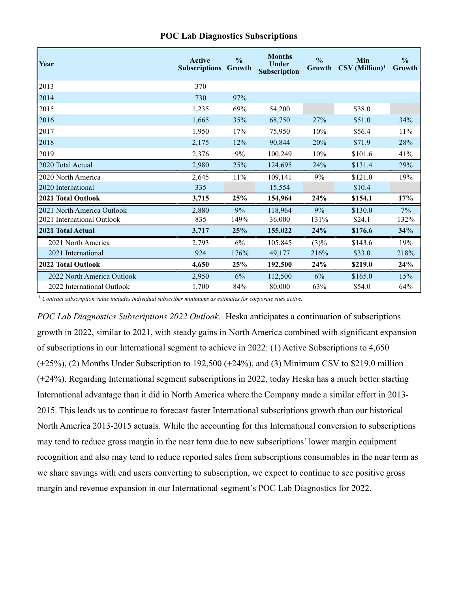| Year                       | <b>Active</b><br><b>Subscriptions</b> | $\frac{0}{0}$<br>Growth | <b>Months</b><br><b>Under</b><br>Subscription | $\frac{0}{0}$<br>Growth | Min<br>$\mathrm{CSV}\,(\mathrm{Million})^1$ | $\frac{0}{0}$<br>Growth |
|----------------------------|---------------------------------------|-------------------------|-----------------------------------------------|-------------------------|---------------------------------------------|-------------------------|
| 2013                       | 370                                   |                         |                                               |                         |                                             |                         |
| 2014                       | 730                                   | 97%                     |                                               |                         |                                             |                         |
| 2015                       | 1,235                                 | 69%                     | 54,200                                        |                         | \$38.0                                      |                         |
| 2016                       | 1,665                                 | 35%                     | 68,750                                        | 27%                     | \$51.0                                      | 34%                     |
| 2017                       | 1,950                                 | 17%                     | 75,950                                        | 10%                     | \$56.4                                      | 11%                     |
| 2018                       | 2,175                                 | 12%                     | 90,844                                        | 20%                     | \$71.9                                      | 28%                     |
| 2019                       | 2,376                                 | 9%                      | 100,249                                       | 10%                     | \$101.6                                     | 41%                     |
| 2020 Total Actual          | 2,980                                 | 25%                     | 124,695                                       | 24%                     | \$131.4                                     | 29%                     |
| 2020 North America         | 2,645                                 | 11%                     | 109,141                                       | 9%                      | \$121.0                                     | 19%                     |
| 2020 International         | 335                                   |                         | 15,554                                        |                         | \$10.4                                      |                         |
| 2021 Total Outlook         | 3,715                                 | 25%                     | 154,964                                       | 24%                     | \$154.1                                     | 17%                     |
| 2021 North America Outlook | 2,880                                 | 9%                      | 118,964                                       | 9%                      | \$130.0                                     | 7%                      |
| 2021 International Outlook | 835                                   | 149%                    | 36,000                                        | 131%                    | \$24.1                                      | 132%                    |
| 2021 Total Actual          | 3,717                                 | 25%                     | 155,022                                       | 24%                     | \$176.6                                     | 34%                     |
| 2021 North America         | 2,793                                 | 6%                      | 105,845                                       | $(3)\%$                 | \$143.6                                     | 19%                     |
| 2021 International         | 924                                   | 176%                    | 49,177                                        | 216%                    | \$33.0                                      | 218%                    |
| 2022 Total Outlook         | 4,650                                 | 25%                     | 192,500                                       | 24%                     | \$219.0                                     | 24%                     |
| 2022 North America Outlook | 2,950                                 | 6%                      | 112,500                                       | 6%                      | \$165.0                                     | 15%                     |
| 2022 International Outlook | 1,700                                 | 84%                     | 80,000                                        | 63%                     | \$54.0                                      | 64%                     |

#### POC Lab Diagnostics Subscriptions

 $<sup>1</sup>$  Contract subscription value includes individual subscriber minimums as estimates for corporate sites active.</sup>

POC Lab Diagnostics Subscriptions 2022 Outlook. Heska anticipates a continuation of subscriptions growth in 2022, similar to 2021, with steady gains in North America combined with significant expansion of subscriptions in our International segment to achieve in 2022: (1) Active Subscriptions to 4,650 (+25%), (2) Months Under Subscription to 192,500 (+24%), and (3) Minimum CSV to \$219.0 million (+24%). Regarding International segment subscriptions in 2022, today Heska has a much better starting International advantage than it did in North America where the Company made a similar effort in 2013- 2015. This leads us to continue to forecast faster International subscriptions growth than our historical North America 2013-2015 actuals. While the accounting for this International conversion to subscriptions may tend to reduce gross margin in the near term due to new subscriptions' lower margin equipment recognition and also may tend to reduce reported sales from subscriptions consumables in the near term as we share savings with end users converting to subscription, we expect to continue to see positive gross margin and revenue expansion in our International segment's POC Lab Diagnostics for 2022.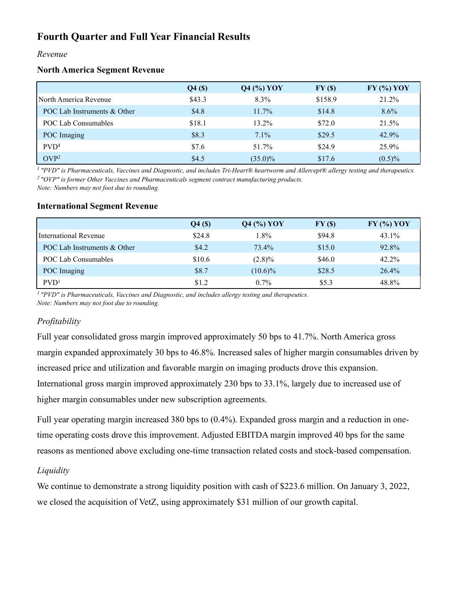# Fourth Quarter and Full Year Financial Results

#### Revenue

#### North America Segment Revenue

|                             | $Q4($ \$) | <b>Q4 (%) YOY</b> | FY(\$)  | $FY$ (%) $YOY$ |
|-----------------------------|-----------|-------------------|---------|----------------|
| l North America Revenue     | \$43.3    | 8.3%              | \$158.9 | 21.2%          |
| POC Lab Instruments & Other | \$4.8     | $11.7\%$          | \$14.8  | $8.6\%$        |
| POC Lab Consumables         | \$18.1    | 13.2%             | \$72.0  | 21.5%          |
| POC Imaging                 | \$8.3     | $7.1\%$           | \$29.5  | 42.9%          |
| PVD <sup>1</sup>            | \$7.6     | 51.7%             | \$24.9  | 25.9%          |
| OVP <sup>2</sup>            | \$4.5     | $(35.0)\%$        | \$17.6  | $(0.5)\%$      |

 $1$  "PVD" is Pharmaceuticals, Vaccines and Diagnostic, and includes Tri-Heart® heartworm and Allercept® allergy testing and therapeutics. <sup>2</sup> "OVP" is former Other Vaccines and Pharmaceuticals segment contract manufacturing products.

Note: Numbers may not foot due to rounding.

|                             | $Q4($ \$) | $Q4$ (%) YOY | FY(\$) | $FY$ (%) $YOY$ |
|-----------------------------|-----------|--------------|--------|----------------|
| International Revenue       | \$24.8    | 1.8%         | \$94.8 | 43.1%          |
| POC Lab Instruments & Other | \$4.2     | 73.4%        | \$15.0 | 92.8%          |
| POC Lab Consumables         | \$10.6    | $(2.8)\%$    | \$46.0 | 42.2%          |
| POC Imaging                 | \$8.7     | $(10.6)\%$   | \$28.5 | 26.4%          |
| PVD <sup>1</sup>            | \$1.2     | $0.7\%$      | \$5.3  | 48.8%          |

#### International Segment Revenue

<sup>1</sup> "PVD" is Pharmaceuticals, Vaccines and Diagnostic, and includes allergy testing and therapeutics. Note: Numbers may not foot due to rounding.

## Profitability

Full year consolidated gross margin improved approximately 50 bps to 41.7%. North America gross margin expanded approximately 30 bps to 46.8%. Increased sales of higher margin consumables driven by increased price and utilization and favorable margin on imaging products drove this expansion. International gross margin improved approximately 230 bps to 33.1%, largely due to increased use of higher margin consumables under new subscription agreements.

Full year operating margin increased 380 bps to (0.4%). Expanded gross margin and a reduction in onetime operating costs drove this improvement. Adjusted EBITDA margin improved 40 bps for the same reasons as mentioned above excluding one-time transaction related costs and stock-based compensation.

## **Liquidity**

We continue to demonstrate a strong liquidity position with cash of \$223.6 million. On January 3, 2022, we closed the acquisition of VetZ, using approximately \$31 million of our growth capital.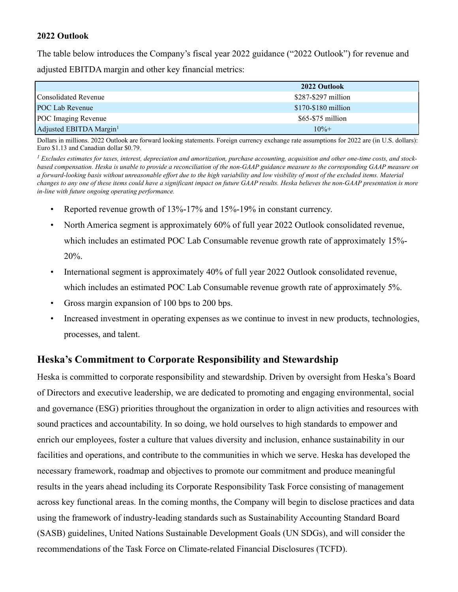### 2022 Outlook

The table below introduces the Company's fiscal year 2022 guidance ("2022 Outlook") for revenue and adjusted EBITDA margin and other key financial metrics:

|                                     | 2022 Outlook         |
|-------------------------------------|----------------------|
| Consolidated Revenue                | \$287-\$297 million  |
| <b>POC Lab Revenue</b>              | $$170-\$180$ million |
| POC Imaging Revenue                 | $$65-$75 million$    |
| Adjusted EBITDA Margin <sup>1</sup> | $10% +$              |

Dollars in millions. 2022 Outlook are forward looking statements. Foreign currency exchange rate assumptions for 2022 are (in U.S. dollars): Euro \$1.13 and Canadian dollar \$0.79.

 $<sup>1</sup>$  Excludes estimates for taxes, interest, depreciation and amortization, purchase accounting, acquisition and other one-time costs, and stock-</sup> based compensation. Heska is unable to provide a reconciliation of the non-GAAP guidance measure to the corresponding GAAP measure on a forward-looking basis without unreasonable effort due to the high variability and low visibility of most of the excluded items. Material changes to any one of these items could have a significant impact on future GAAP results. Heska believes the non-GAAP presentation is more in-line with future ongoing operating performance.

- Reported revenue growth of 13%-17% and 15%-19% in constant currency.
- North America segment is approximately 60% of full year 2022 Outlook consolidated revenue, which includes an estimated POC Lab Consumable revenue growth rate of approximately 15%-20%.
- International segment is approximately 40% of full year 2022 Outlook consolidated revenue, which includes an estimated POC Lab Consumable revenue growth rate of approximately 5%.
- Gross margin expansion of 100 bps to 200 bps.
- Increased investment in operating expenses as we continue to invest in new products, technologies, processes, and talent.

# Heska's Commitment to Corporate Responsibility and Stewardship

Heska is committed to corporate responsibility and stewardship. Driven by oversight from Heska's Board of Directors and executive leadership, we are dedicated to promoting and engaging environmental, social and governance (ESG) priorities throughout the organization in order to align activities and resources with sound practices and accountability. In so doing, we hold ourselves to high standards to empower and enrich our employees, foster a culture that values diversity and inclusion, enhance sustainability in our facilities and operations, and contribute to the communities in which we serve. Heska has developed the necessary framework, roadmap and objectives to promote our commitment and produce meaningful results in the years ahead including its Corporate Responsibility Task Force consisting of management across key functional areas. In the coming months, the Company will begin to disclose practices and data using the framework of industry-leading standards such as Sustainability Accounting Standard Board (SASB) guidelines, United Nations Sustainable Development Goals (UN SDGs), and will consider the recommendations of the Task Force on Climate-related Financial Disclosures (TCFD).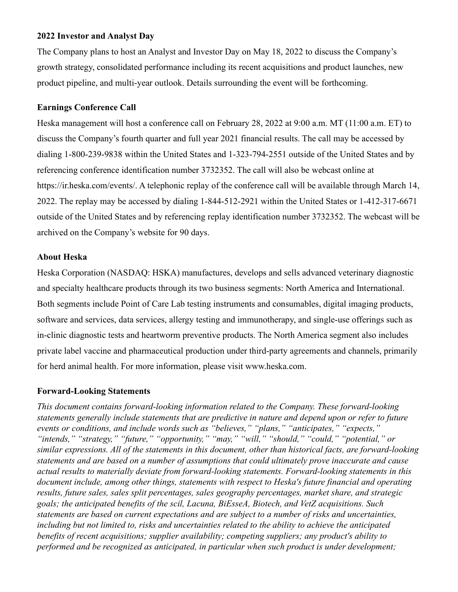#### 2022 Investor and Analyst Day

The Company plans to host an Analyst and Investor Day on May 18, 2022 to discuss the Company's growth strategy, consolidated performance including its recent acquisitions and product launches, new product pipeline, and multi-year outlook. Details surrounding the event will be forthcoming.

#### Earnings Conference Call

Heska management will host a conference call on February 28, 2022 at 9:00 a.m. MT (11:00 a.m. ET) to discuss the Company's fourth quarter and full year 2021 financial results. The call may be accessed by dialing 1-800-239-9838 within the United States and 1-323-794-2551 outside of the United States and by referencing conference identification number 3732352. The call will also be webcast online at https://ir.heska.com/events/. A telephonic replay of the conference call will be available through March 14, 2022. The replay may be accessed by dialing 1-844-512-2921 within the United States or 1-412-317-6671 outside of the United States and by referencing replay identification number 3732352. The webcast will be archived on the Company's website for 90 days.

#### About Heska

Heska Corporation (NASDAQ: HSKA) manufactures, develops and sells advanced veterinary diagnostic and specialty healthcare products through its two business segments: North America and International. Both segments include Point of Care Lab testing instruments and consumables, digital imaging products, software and services, data services, allergy testing and immunotherapy, and single-use offerings such as in-clinic diagnostic tests and heartworm preventive products. The North America segment also includes private label vaccine and pharmaceutical production under third-party agreements and channels, primarily for herd animal health. For more information, please visit www.heska.com.

#### Forward-Looking Statements

This document contains forward-looking information related to the Company. These forward-looking statements generally include statements that are predictive in nature and depend upon or refer to future events or conditions, and include words such as "believes," "plans," "anticipates," "expects," "intends," "strategy," "future," "opportunity," "may," "will," "should," "could," "potential," or similar expressions. All of the statements in this document, other than historical facts, are forward-looking statements and are based on a number of assumptions that could ultimately prove inaccurate and cause actual results to materially deviate from forward-looking statements. Forward-looking statements in this document include, among other things, statements with respect to Heska's future financial and operating results, future sales, sales split percentages, sales geography percentages, market share, and strategic goals; the anticipated benefits of the scil, Lacuna, BiEsseA, Biotech, and VetZ acquisitions. Such statements are based on current expectations and are subject to a number of risks and uncertainties, including but not limited to, risks and uncertainties related to the ability to achieve the anticipated benefits of recent acquisitions; supplier availability; competing suppliers; any product's ability to performed and be recognized as anticipated, in particular when such product is under development;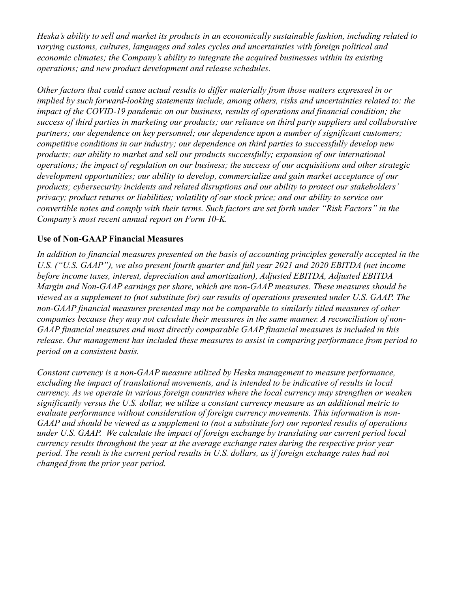Heska's ability to sell and market its products in an economically sustainable fashion, including related to varying customs, cultures, languages and sales cycles and uncertainties with foreign political and economic climates; the Company's ability to integrate the acquired businesses within its existing operations; and new product development and release schedules.

Other factors that could cause actual results to differ materially from those matters expressed in or implied by such forward-looking statements include, among others, risks and uncertainties related to: the impact of the COVID-19 pandemic on our business, results of operations and financial condition; the success of third parties in marketing our products; our reliance on third party suppliers and collaborative partners; our dependence on key personnel; our dependence upon a number of significant customers; competitive conditions in our industry; our dependence on third parties to successfully develop new products; our ability to market and sell our products successfully; expansion of our international operations; the impact of regulation on our business; the success of our acquisitions and other strategic development opportunities; our ability to develop, commercialize and gain market acceptance of our products; cybersecurity incidents and related disruptions and our ability to protect our stakeholders' privacy; product returns or liabilities; volatility of our stock price; and our ability to service our convertible notes and comply with their terms. Such factors are set forth under "Risk Factors" in the Company's most recent annual report on Form 10-K.

# Use of Non-GAAP Financial Measures

In addition to financial measures presented on the basis of accounting principles generally accepted in the U.S. ("U.S. GAAP"), we also present fourth quarter and full year 2021 and 2020 EBITDA (net income before income taxes, interest, depreciation and amortization), Adjusted EBITDA, Adjusted EBITDA Margin and Non-GAAP earnings per share, which are non-GAAP measures. These measures should be viewed as a supplement to (not substitute for) our results of operations presented under U.S. GAAP. The non-GAAP financial measures presented may not be comparable to similarly titled measures of other companies because they may not calculate their measures in the same manner. A reconciliation of non-GAAP financial measures and most directly comparable GAAP financial measures is included in this release. Our management has included these measures to assist in comparing performance from period to period on a consistent basis.

Constant currency is a non-GAAP measure utilized by Heska management to measure performance, excluding the impact of translational movements, and is intended to be indicative of results in local currency. As we operate in various foreign countries where the local currency may strengthen or weaken significantly versus the U.S. dollar, we utilize a constant currency measure as an additional metric to evaluate performance without consideration of foreign currency movements. This information is non-GAAP and should be viewed as a supplement to (not a substitute for) our reported results of operations under U.S. GAAP. We calculate the impact of foreign exchange by translating our current period local currency results throughout the year at the average exchange rates during the respective prior year period. The result is the current period results in U.S. dollars, as if foreign exchange rates had not changed from the prior year period.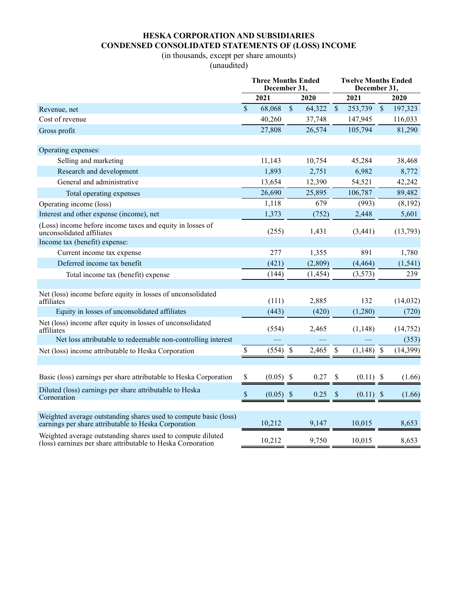# HESKA CORPORATION AND SUBSIDIARIES CONDENSED CONSOLIDATED STATEMENTS OF (LOSS) INCOME

# (in thousands, except per share amounts)

(unaudited)

|                                                                                                                            |              | <b>Three Months Ended</b><br>December 31, |              |                           | <b>Twelve Months Ended</b><br>December 31, |             |           |
|----------------------------------------------------------------------------------------------------------------------------|--------------|-------------------------------------------|--------------|---------------------------|--------------------------------------------|-------------|-----------|
|                                                                                                                            |              | 2021                                      | 2020         |                           | 2021                                       |             | 2020      |
| Revenue, net                                                                                                               | $\mathbb{S}$ | 68,068                                    | \$<br>64,322 | $\sqrt{\ }$               | 253,739                                    | $\mathbb S$ | 197,323   |
| Cost of revenue                                                                                                            |              | 40,260                                    | 37,748       |                           | 147,945                                    |             | 116,033   |
| Gross profit                                                                                                               |              | 27,808                                    | 26,574       |                           | 105,794                                    |             | 81,290    |
| Operating expenses:                                                                                                        |              |                                           |              |                           |                                            |             |           |
| Selling and marketing                                                                                                      |              | 11,143                                    | 10,754       |                           | 45,284                                     |             | 38,468    |
| Research and development                                                                                                   |              | 1,893                                     | 2,751        |                           | 6,982                                      |             | 8,772     |
| General and administrative                                                                                                 |              | 13,654                                    | 12,390       |                           | 54,521                                     |             | 42,242    |
| Total operating expenses                                                                                                   |              | 26,690                                    | 25,895       |                           | 106,787                                    |             | 89,482    |
| Operating income (loss)                                                                                                    |              | 1,118                                     | 679          |                           | (993)                                      |             | (8,192)   |
| Interest and other expense (income), net                                                                                   |              | 1,373                                     | (752)        |                           | 2,448                                      |             | 5,601     |
| (Loss) income before income taxes and equity in losses of<br>unconsolidated affiliates                                     |              | (255)                                     | 1,431        |                           | (3,441)                                    |             | (13,793)  |
| Income tax (benefit) expense:                                                                                              |              |                                           |              |                           |                                            |             |           |
| Current income tax expense                                                                                                 |              | 277                                       | 1,355        |                           | 891                                        |             | 1,780     |
| Deferred income tax benefit                                                                                                |              | (421)                                     | (2,809)      |                           | (4, 464)                                   |             | (1, 541)  |
| Total income tax (benefit) expense                                                                                         |              | (144)                                     | (1, 454)     |                           | (3,573)                                    |             | 239       |
|                                                                                                                            |              |                                           |              |                           |                                            |             |           |
| Net (loss) income before equity in losses of unconsolidated<br>affiliates                                                  |              | (111)                                     | 2,885        |                           | 132                                        |             | (14, 032) |
| Equity in losses of unconsolidated affiliates                                                                              |              | (443)                                     | (420)        |                           | (1,280)                                    |             | (720)     |
| Net (loss) income after equity in losses of unconsolidated<br>affiliates                                                   |              | (554)                                     | 2,465        |                           | (1,148)                                    |             | (14, 752) |
| Net loss attributable to redeemable non-controlling interest                                                               |              |                                           |              |                           |                                            |             | (353)     |
| Net (loss) income attributable to Heska Corporation                                                                        | \$           | $(554)$ \$                                | 2,465        | \$                        | $(1,148)$ \$                               |             | (14, 399) |
|                                                                                                                            |              |                                           |              |                           |                                            |             |           |
| Basic (loss) earnings per share attributable to Heska Corporation                                                          | \$           | (0.05)                                    | \$<br>0.27   | \$                        | (0.11)                                     | -S          | (1.66)    |
| Diluted (loss) earnings per share attributable to Heska<br>Corporation                                                     | \$           | $(0.05)$ \$                               | 0.25         | $\boldsymbol{\mathsf{S}}$ | $(0.11)$ \$                                |             | (1.66)    |
|                                                                                                                            |              |                                           |              |                           |                                            |             |           |
| Weighted average outstanding shares used to compute basic (loss)<br>earnings per share attributable to Heska Corporation   |              | 10,212                                    | 9,147        |                           | 10,015                                     |             | 8,653     |
| Weighted average outstanding shares used to compute diluted<br>(loss) earnings per share attributable to Heska Corporation |              | 10,212                                    | 9,750        |                           | 10,015                                     |             | 8,653     |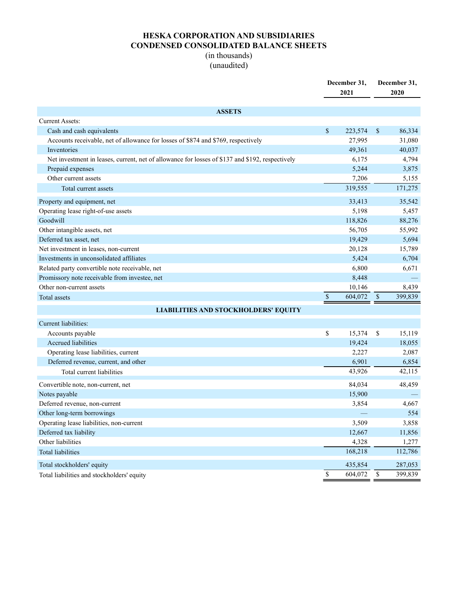# HESKA CORPORATION AND SUBSIDIARIES CONDENSED CONSOLIDATED BALANCE SHEETS

### (in thousands) (unaudited)

|                                                                                                 |               | December 31,<br>2021 | December 31,<br>2020 |  |
|-------------------------------------------------------------------------------------------------|---------------|----------------------|----------------------|--|
| <b>ASSETS</b>                                                                                   |               |                      |                      |  |
| <b>Current Assets:</b>                                                                          |               |                      |                      |  |
| Cash and cash equivalents                                                                       | \$            | 223,574              | \$<br>86,334         |  |
| Accounts receivable, net of allowance for losses of \$874 and \$769, respectively               |               | 27,995               | 31,080               |  |
| Inventories                                                                                     |               | 49,361               | 40,037               |  |
| Net investment in leases, current, net of allowance for losses of \$137 and \$192, respectively |               | 6,175                | 4,794                |  |
| Prepaid expenses                                                                                |               | 5,244                | 3,875                |  |
| Other current assets                                                                            |               | 7,206                | 5,155                |  |
| Total current assets                                                                            |               | 319,555              | 171,275              |  |
| Property and equipment, net                                                                     |               | 33,413               | 35,542               |  |
| Operating lease right-of-use assets                                                             |               | 5,198                | 5,457                |  |
| Goodwill                                                                                        |               | 118,826              | 88,276               |  |
| Other intangible assets, net                                                                    |               | 56,705               | 55,992               |  |
| Deferred tax asset, net                                                                         |               | 19,429               | 5,694                |  |
| Net investment in leases, non-current                                                           |               | 20,128               | 15,789               |  |
| Investments in unconsolidated affiliates                                                        |               | 5,424                | 6,704                |  |
| Related party convertible note receivable, net                                                  |               | 6,800                | 6,671                |  |
| Promissory note receivable from investee, net                                                   |               | 8,448                |                      |  |
| Other non-current assets                                                                        |               | 10,146               | 8,439                |  |
| Total assets                                                                                    | $\mathbb{S}$  | 604,072              | \$<br>399,839        |  |
| <b>LIABILITIES AND STOCKHOLDERS' EQUITY</b>                                                     |               |                      |                      |  |
| Current liabilities:                                                                            |               |                      |                      |  |
| Accounts payable                                                                                | \$            | 15,374               | \$<br>15,119         |  |
| <b>Accrued</b> liabilities                                                                      |               | 19,424               | 18,055               |  |
| Operating lease liabilities, current                                                            |               | 2,227                | 2,087                |  |
| Deferred revenue, current, and other                                                            |               | 6,901                | 6,854                |  |
| Total current liabilities                                                                       |               | 43,926               | 42,115               |  |
| Convertible note, non-current, net                                                              |               | 84,034               | 48,459               |  |
| Notes payable                                                                                   |               | 15,900               |                      |  |
| Deferred revenue, non-current                                                                   |               | 3,854                | 4,667                |  |
| Other long-term borrowings                                                                      |               |                      | 554                  |  |
| Operating lease liabilities, non-current                                                        |               | 3,509                | 3,858                |  |
| Deferred tax liability                                                                          |               | 12,667               | 11,856               |  |
| Other liabilities                                                                               |               | 4,328                | 1,277                |  |
| <b>Total liabilities</b>                                                                        |               | 168,218              | 112,786              |  |
| Total stockholders' equity                                                                      |               | 435,854              | 287,053              |  |
| Total liabilities and stockholders' equity                                                      | $\mathsf{\$}$ | 604,072              | \$<br>399,839        |  |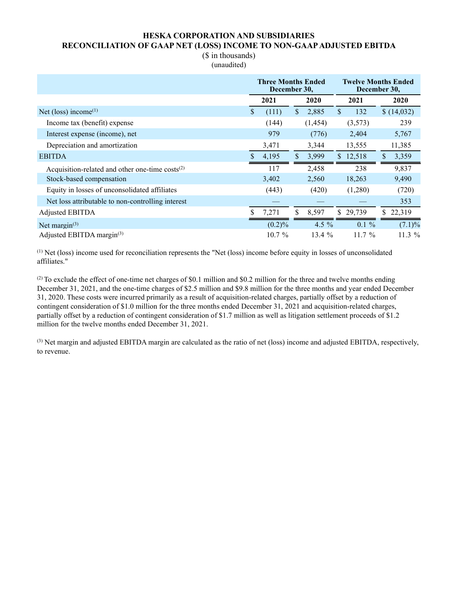#### HESKA CORPORATION AND SUBSIDIARIES RECONCILIATION OF GAAP NET (LOSS) INCOME TO NON-GAAP ADJUSTED EBITDA

(\$ in thousands) (unaudited)

|                                                      | <b>Three Months Ended</b><br>December 30, |           |    |          |              |          | <b>Twelve Months Ended</b><br>December 30, |            |  |  |
|------------------------------------------------------|-------------------------------------------|-----------|----|----------|--------------|----------|--------------------------------------------|------------|--|--|
|                                                      |                                           | 2021      |    | 2020     |              | 2021     |                                            | 2020       |  |  |
| Net (loss) income $(1)$                              | \$                                        | (111)     | \$ | 2,885    | $\mathbb{S}$ | 132      |                                            | \$(14,032) |  |  |
| Income tax (benefit) expense                         |                                           | (144)     |    | (1,454)  |              | (3,573)  |                                            | 239        |  |  |
| Interest expense (income), net                       |                                           | 979       |    | (776)    |              | 2,404    |                                            | 5,767      |  |  |
| Depreciation and amortization                        |                                           | 3,471     |    | 3,344    |              | 13,555   |                                            | 11,385     |  |  |
| <b>EBITDA</b>                                        |                                           | 4,195     | \$ | 3,999    |              | \$12,518 | \$                                         | 3,359      |  |  |
| Acquisition-related and other one-time $costs^{(2)}$ |                                           | 117       |    | 2,458    |              | 238      |                                            | 9,837      |  |  |
| Stock-based compensation                             |                                           | 3,402     |    | 2,560    |              | 18,263   |                                            | 9,490      |  |  |
| Equity in losses of unconsolidated affiliates        |                                           | (443)     |    | (420)    |              | (1,280)  |                                            | (720)      |  |  |
| Net loss attributable to non-controlling interest    |                                           |           |    |          |              |          |                                            | 353        |  |  |
| Adjusted EBITDA                                      | ς                                         | 7,271     | \$ | 8,597    |              | \$29,739 | \$                                         | 22,319     |  |  |
| Net margin $(3)$                                     |                                           | $(0.2)\%$ |    | 4.5 $%$  |              | $0.1 \%$ |                                            | $(7.1)\%$  |  |  |
| Adjusted EBITDA margin(3)                            |                                           | $10.7\%$  |    | 13.4 $%$ |              | $11.7\%$ |                                            | 11.3 $%$   |  |  |

(1) Net (loss) income used for reconciliation represents the "Net (loss) income before equity in losses of unconsolidated affiliates."

 $(2)$  To exclude the effect of one-time net charges of \$0.1 million and \$0.2 million for the three and twelve months ending December 31, 2021, and the one-time charges of \$2.5 million and \$9.8 million for the three months and year ended December 31, 2020. These costs were incurred primarily as a result of acquisition-related charges, partially offset by a reduction of contingent consideration of \$1.0 million for the three months ended December 31, 2021 and acquisition-related charges, partially offset by a reduction of contingent consideration of \$1.7 million as well as litigation settlement proceeds of \$1.2 million for the twelve months ended December 31, 2021.

(3) Net margin and adjusted EBITDA margin are calculated as the ratio of net (loss) income and adjusted EBITDA, respectively, to revenue.